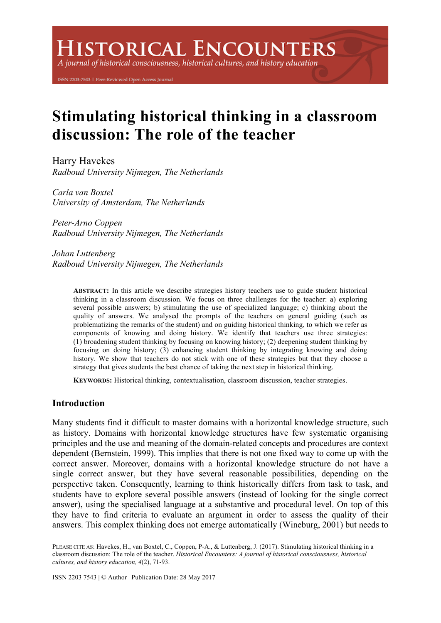# **ISTORICAL ENCOUNTERS**

A journal of historical consciousness, historical cultures, and history education

ISSN 2203-7543 | Peer-Reviewed Open Access Journal

# **Stimulating historical thinking in a classroom discussion: The role of the teacher**

Harry Havekes *Radboud University Nijmegen, The Netherlands*

*Carla van Boxtel University of Amsterdam, The Netherlands*

*Peter-Arno Coppen Radboud University Nijmegen, The Netherlands*

*Johan Luttenberg Radboud University Nijmegen, The Netherlands*

> **ABSTRACT:** In this article we describe strategies history teachers use to guide student historical thinking in a classroom discussion. We focus on three challenges for the teacher: a) exploring several possible answers; b) stimulating the use of specialized language; c) thinking about the quality of answers. We analysed the prompts of the teachers on general guiding (such as problematizing the remarks of the student) and on guiding historical thinking, to which we refer as components of knowing and doing history. We identify that teachers use three strategies: (1) broadening student thinking by focusing on knowing history; (2) deepening student thinking by focusing on doing history; (3) enhancing student thinking by integrating knowing and doing history. We show that teachers do not stick with one of these strategies but that they choose a strategy that gives students the best chance of taking the next step in historical thinking.

**KEYWORDS:** Historical thinking, contextualisation, classroom discussion, teacher strategies.

# **Introduction**

Many students find it difficult to master domains with a horizontal knowledge structure, such as history. Domains with horizontal knowledge structures have few systematic organising principles and the use and meaning of the domain-related concepts and procedures are context dependent (Bernstein, 1999). This implies that there is not one fixed way to come up with the correct answer. Moreover, domains with a horizontal knowledge structure do not have a single correct answer, but they have several reasonable possibilities, depending on the perspective taken. Consequently, learning to think historically differs from task to task, and students have to explore several possible answers (instead of looking for the single correct answer), using the specialised language at a substantive and procedural level. On top of this they have to find criteria to evaluate an argument in order to assess the quality of their answers. This complex thinking does not emerge automatically (Wineburg, 2001) but needs to

PLEASE CITE AS: Havekes, H., van Boxtel, C., Coppen, P-A., & Luttenberg, J. (2017). Stimulating historical thinking in a classroom discussion: The role of the teacher. *Historical Encounters: A journal of historical consciousness, historical cultures, and history education, 4*(2), 71-93.

ISSN 2203 7543 | © Author | Publication Date: 28 May 2017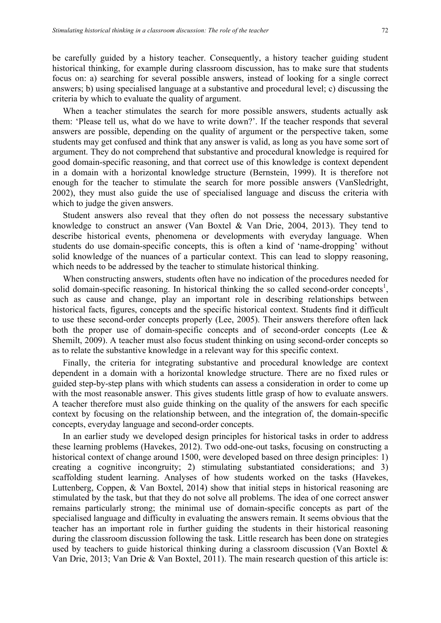be carefully guided by a history teacher. Consequently, a history teacher guiding student historical thinking, for example during classroom discussion, has to make sure that students focus on: a) searching for several possible answers, instead of looking for a single correct answers; b) using specialised language at a substantive and procedural level; c) discussing the criteria by which to evaluate the quality of argument.

When a teacher stimulates the search for more possible answers, students actually ask them: 'Please tell us, what do we have to write down?'. If the teacher responds that several answers are possible, depending on the quality of argument or the perspective taken, some students may get confused and think that any answer is valid, as long as you have some sort of argument. They do not comprehend that substantive and procedural knowledge is required for good domain-specific reasoning, and that correct use of this knowledge is context dependent in a domain with a horizontal knowledge structure (Bernstein, 1999). It is therefore not enough for the teacher to stimulate the search for more possible answers (VanSledright, 2002), they must also guide the use of specialised language and discuss the criteria with which to judge the given answers.

Student answers also reveal that they often do not possess the necessary substantive knowledge to construct an answer (Van Boxtel & Van Drie, 2004, 2013). They tend to describe historical events, phenomena or developments with everyday language. When students do use domain-specific concepts, this is often a kind of 'name-dropping' without solid knowledge of the nuances of a particular context. This can lead to sloppy reasoning, which needs to be addressed by the teacher to stimulate historical thinking.

When constructing answers, students often have no indication of the procedures needed for solid domain-specific reasoning. In historical thinking the so called second-order concepts<sup>1</sup>, such as cause and change, play an important role in describing relationships between historical facts, figures, concepts and the specific historical context. Students find it difficult to use these second-order concepts properly (Lee, 2005). Their answers therefore often lack both the proper use of domain-specific concepts and of second-order concepts (Lee  $\&$ Shemilt, 2009). A teacher must also focus student thinking on using second-order concepts so as to relate the substantive knowledge in a relevant way for this specific context.

Finally, the criteria for integrating substantive and procedural knowledge are context dependent in a domain with a horizontal knowledge structure. There are no fixed rules or guided step-by-step plans with which students can assess a consideration in order to come up with the most reasonable answer. This gives students little grasp of how to evaluate answers. A teacher therefore must also guide thinking on the quality of the answers for each specific context by focusing on the relationship between, and the integration of, the domain-specific concepts, everyday language and second-order concepts.

In an earlier study we developed design principles for historical tasks in order to address these learning problems (Havekes, 2012). Two odd-one-out tasks, focusing on constructing a historical context of change around 1500, were developed based on three design principles: 1) creating a cognitive incongruity; 2) stimulating substantiated considerations; and 3) scaffolding student learning. Analyses of how students worked on the tasks (Havekes, Luttenberg, Coppen, & Van Boxtel, 2014) show that initial steps in historical reasoning are stimulated by the task, but that they do not solve all problems. The idea of one correct answer remains particularly strong; the minimal use of domain-specific concepts as part of the specialised language and difficulty in evaluating the answers remain. It seems obvious that the teacher has an important role in further guiding the students in their historical reasoning during the classroom discussion following the task. Little research has been done on strategies used by teachers to guide historical thinking during a classroom discussion (Van Boxtel & Van Drie, 2013; Van Drie & Van Boxtel, 2011). The main research question of this article is: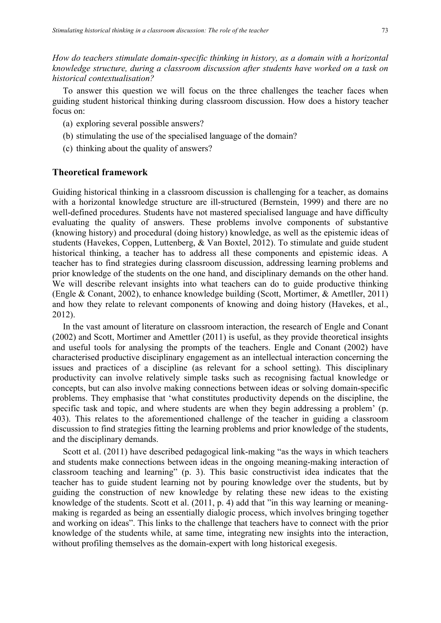*How do teachers stimulate domain-specific thinking in history, as a domain with a horizontal knowledge structure, during a classroom discussion after students have worked on a task on historical contextualisation?*

To answer this question we will focus on the three challenges the teacher faces when guiding student historical thinking during classroom discussion. How does a history teacher focus on:

- (a) exploring several possible answers?
- (b) stimulating the use of the specialised language of the domain?
- (c) thinking about the quality of answers?

#### **Theoretical framework**

Guiding historical thinking in a classroom discussion is challenging for a teacher, as domains with a horizontal knowledge structure are ill-structured (Bernstein, 1999) and there are no well-defined procedures. Students have not mastered specialised language and have difficulty evaluating the quality of answers. These problems involve components of substantive (knowing history) and procedural (doing history) knowledge, as well as the epistemic ideas of students (Havekes, Coppen, Luttenberg, & Van Boxtel, 2012). To stimulate and guide student historical thinking, a teacher has to address all these components and epistemic ideas. A teacher has to find strategies during classroom discussion, addressing learning problems and prior knowledge of the students on the one hand, and disciplinary demands on the other hand. We will describe relevant insights into what teachers can do to guide productive thinking (Engle & Conant, 2002), to enhance knowledge building (Scott, Mortimer, & Ametller, 2011) and how they relate to relevant components of knowing and doing history (Havekes, et al., 2012).

In the vast amount of literature on classroom interaction, the research of Engle and Conant (2002) and Scott, Mortimer and Amettler (2011) is useful, as they provide theoretical insights and useful tools for analysing the prompts of the teachers. Engle and Conant (2002) have characterised productive disciplinary engagement as an intellectual interaction concerning the issues and practices of a discipline (as relevant for a school setting). This disciplinary productivity can involve relatively simple tasks such as recognising factual knowledge or concepts, but can also involve making connections between ideas or solving domain-specific problems. They emphasise that 'what constitutes productivity depends on the discipline, the specific task and topic, and where students are when they begin addressing a problem' (p. 403). This relates to the aforementioned challenge of the teacher in guiding a classroom discussion to find strategies fitting the learning problems and prior knowledge of the students, and the disciplinary demands.

Scott et al. (2011) have described pedagogical link-making "as the ways in which teachers and students make connections between ideas in the ongoing meaning-making interaction of classroom teaching and learning" (p. 3). This basic constructivist idea indicates that the teacher has to guide student learning not by pouring knowledge over the students, but by guiding the construction of new knowledge by relating these new ideas to the existing knowledge of the students. Scott et al. (2011, p. 4) add that "in this way learning or meaningmaking is regarded as being an essentially dialogic process, which involves bringing together and working on ideas". This links to the challenge that teachers have to connect with the prior knowledge of the students while, at same time, integrating new insights into the interaction, without profiling themselves as the domain-expert with long historical exegesis.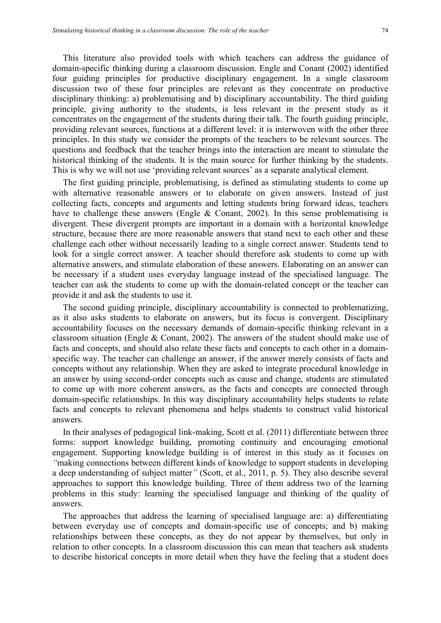This literature also provided tools with which teachers can address the guidance of domain-specific thinking during a classroom discussion. Engle and Conant (2002) identified four guiding principles for productive disciplinary engagement. In a single classroom discussion two of these four principles are relevant as they concentrate on productive disciplinary thinking: a) problematising and b) disciplinary accountability. The third guiding principle, giving authority to the students, is less relevant in the present study as it concentrates on the engagement of the students during their talk. The fourth guiding principle, providing relevant sources, functions at a different level: it is interwoven with the other three principles. In this study we consider the prompts of the teachers to be relevant sources. The questions and feedback that the teacher brings into the interaction are meant to stimulate the historical thinking of the students. It is the main source for further thinking by the students. This is why we will not use 'providing relevant sources' as a separate analytical element.

The first guiding principle, problematising, is defined as stimulating students to come up with alternative reasonable answers or to elaborate on given answers. Instead of just collecting facts, concepts and arguments and letting students bring forward ideas, teachers have to challenge these answers (Engle & Conant, 2002). In this sense problematising is divergent. These divergent prompts are important in a domain with a horizontal knowledge structure, because there are more reasonable answers that stand next to each other and these challenge each other without necessarily leading to a single correct answer. Students tend to look for a single correct answer. A teacher should therefore ask students to come up with alternative answers, and stimulate elaboration of these answers. Elaborating on an answer can be necessary if a student uses everyday language instead of the specialised language. The teacher can ask the students to come up with the domain-related concept or the teacher can provide it and ask the students to use it.

The second guiding principle, disciplinary accountability is connected to problematizing, as it also asks students to elaborate on answers, but its focus is convergent. Disciplinary accountability focuses on the necessary demands of domain-specific thinking relevant in a classroom situation (Engle & Conant, 2002). The answers of the student should make use of facts and concepts, and should also relate these facts and concepts to each other in a domainspecific way. The teacher can challenge an answer, if the answer merely consists of facts and concepts without any relationship. When they are asked to integrate procedural knowledge in an answer by using second-order concepts such as cause and change, students are stimulated to come up with more coherent answers, as the facts and concepts are connected through domain-specific relationships. In this way disciplinary accountability helps students to relate facts and concepts to relevant phenomena and helps students to construct valid historical answers.

In their analyses of pedagogical link-making, Scott et al. (2011) differentiate between three forms: support knowledge building, promoting continuity and encouraging emotional engagement. Supporting knowledge building is of interest in this study as it focuses on *"*making connections between different kinds of knowledge to support students in developing a deep understanding of subject matter*"* (Scott, et al., 2011, p. 5). They also describe several approaches to support this knowledge building. Three of them address two of the learning problems in this study: learning the specialised language and thinking of the quality of answers.

The approaches that address the learning of specialised language are: a) differentiating between everyday use of concepts and domain-specific use of concepts; and b) making relationships between these concepts, as they do not appear by themselves, but only in relation to other concepts. In a classroom discussion this can mean that teachers ask students to describe historical concepts in more detail when they have the feeling that a student does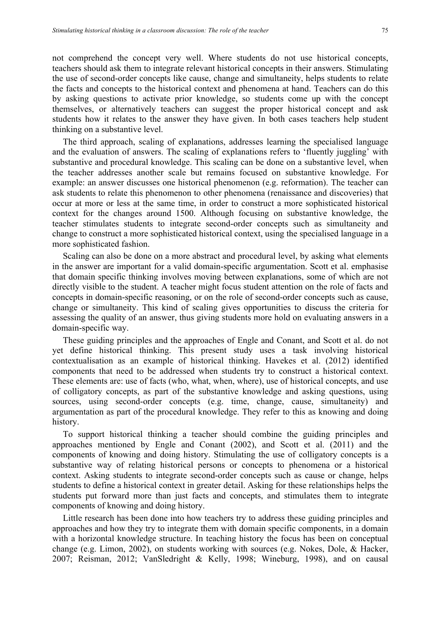not comprehend the concept very well. Where students do not use historical concepts, teachers should ask them to integrate relevant historical concepts in their answers. Stimulating the use of second-order concepts like cause, change and simultaneity, helps students to relate the facts and concepts to the historical context and phenomena at hand. Teachers can do this by asking questions to activate prior knowledge, so students come up with the concept themselves, or alternatively teachers can suggest the proper historical concept and ask students how it relates to the answer they have given. In both cases teachers help student thinking on a substantive level.

The third approach, scaling of explanations, addresses learning the specialised language and the evaluation of answers. The scaling of explanations refers to 'fluently juggling' with substantive and procedural knowledge. This scaling can be done on a substantive level, when the teacher addresses another scale but remains focused on substantive knowledge. For example: an answer discusses one historical phenomenon (e.g. reformation). The teacher can ask students to relate this phenomenon to other phenomena (renaissance and discoveries) that occur at more or less at the same time, in order to construct a more sophisticated historical context for the changes around 1500. Although focusing on substantive knowledge, the teacher stimulates students to integrate second-order concepts such as simultaneity and change to construct a more sophisticated historical context, using the specialised language in a more sophisticated fashion.

Scaling can also be done on a more abstract and procedural level, by asking what elements in the answer are important for a valid domain-specific argumentation. Scott et al. emphasise that domain specific thinking involves moving between explanations, some of which are not directly visible to the student. A teacher might focus student attention on the role of facts and concepts in domain-specific reasoning, or on the role of second-order concepts such as cause, change or simultaneity. This kind of scaling gives opportunities to discuss the criteria for assessing the quality of an answer, thus giving students more hold on evaluating answers in a domain-specific way.

These guiding principles and the approaches of Engle and Conant, and Scott et al. do not yet define historical thinking. This present study uses a task involving historical contextualisation as an example of historical thinking. Havekes et al. (2012) identified components that need to be addressed when students try to construct a historical context. These elements are: use of facts (who, what, when, where), use of historical concepts, and use of colligatory concepts, as part of the substantive knowledge and asking questions, using sources, using second-order concepts (e.g. time, change, cause, simultaneity) and argumentation as part of the procedural knowledge. They refer to this as knowing and doing history.

To support historical thinking a teacher should combine the guiding principles and approaches mentioned by Engle and Conant (2002), and Scott et al. (2011) and the components of knowing and doing history. Stimulating the use of colligatory concepts is a substantive way of relating historical persons or concepts to phenomena or a historical context. Asking students to integrate second-order concepts such as cause or change, helps students to define a historical context in greater detail. Asking for these relationships helps the students put forward more than just facts and concepts, and stimulates them to integrate components of knowing and doing history.

Little research has been done into how teachers try to address these guiding principles and approaches and how they try to integrate them with domain specific components, in a domain with a horizontal knowledge structure. In teaching history the focus has been on conceptual change (e.g. Limon, 2002), on students working with sources (e.g. Nokes, Dole, & Hacker, 2007; Reisman, 2012; VanSledright & Kelly, 1998; Wineburg, 1998), and on causal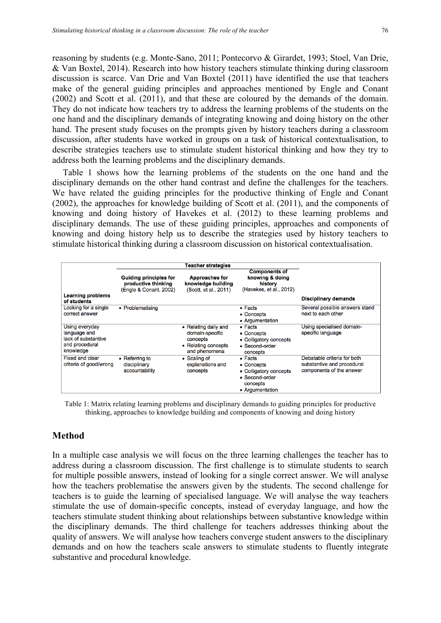reasoning by students (e.g. Monte-Sano, 2011; Pontecorvo & Girardet, 1993; Stoel, Van Drie, & Van Boxtel, 2014). Research into how history teachers stimulate thinking during classroom discussion is scarce. Van Drie and Van Boxtel (2011) have identified the use that teachers make of the general guiding principles and approaches mentioned by Engle and Conant (2002) and Scott et al. (2011), and that these are coloured by the demands of the domain. They do not indicate how teachers try to address the learning problems of the students on the one hand and the disciplinary demands of integrating knowing and doing history on the other hand. The present study focuses on the prompts given by history teachers during a classroom discussion, after students have worked in groups on a task of historical contextualisation, to describe strategies teachers use to stimulate student historical thinking and how they try to address both the learning problems and the disciplinary demands.

Table 1 shows how the learning problems of the students on the one hand and the disciplinary demands on the other hand contrast and define the challenges for the teachers. We have related the guiding principles for the productive thinking of Engle and Conant (2002), the approaches for knowledge building of Scott et al. (2011), and the components of knowing and doing history of Havekes et al. (2012) to these learning problems and disciplinary demands. The use of these guiding principles, approaches and components of knowing and doing history help us to describe the strategies used by history teachers to stimulate historical thinking during a classroom discussion on historical contextualisation.

|                                                                                      |                                                                                | <b>Teacher strategies</b>                                                                   |                                                                                                          |                                                                                       |
|--------------------------------------------------------------------------------------|--------------------------------------------------------------------------------|---------------------------------------------------------------------------------------------|----------------------------------------------------------------------------------------------------------|---------------------------------------------------------------------------------------|
| <b>Learning problems</b><br>of students                                              | <b>Guiding principles for</b><br>productive thinking<br>(Engle & Conant, 2002) | <b>Approaches for</b><br>knowledge building<br>(Scott, et al., 2011)                        | <b>Components of</b><br>knowing & doing<br>history<br>(Havekes, et al., 2012)                            | <b>Disciplinary demands</b>                                                           |
| Looking for a single<br>correct answer                                               | • Problematising                                                               |                                                                                             | $\bullet$ Facts<br>• Concepts<br>• Argumentation                                                         | Several possible answers stand<br>next to each other                                  |
| Using everyday<br>language and<br>lack of substantive<br>and procedural<br>knowledge |                                                                                | • Relating daily and<br>domain-specific<br>concepts<br>• Relating concepts<br>and phenomena | $\bullet$ Facts<br>• Concepts<br>• Colligatory concepts<br>• Second-order<br>concepts                    | Using specialised domain-<br>specific language                                        |
| <b>Fixed and clear</b><br>criteria of good/wrong                                     | • Referring to<br>disciplinary<br>accountability                               | • Scaling of<br>explanations and<br>concepts                                                | $\bullet$ Facts<br>• Concepts<br>• Colligatory concepts<br>• Second-order<br>concepts<br>• Argumentation | Debatable criteria for both<br>substantive and procedural<br>components of the answer |

Table 1: Matrix relating learning problems and disciplinary demands to guiding principles for productive thinking, approaches to knowledge building and components of knowing and doing history

# **Method**

In a multiple case analysis we will focus on the three learning challenges the teacher has to address during a classroom discussion. The first challenge is to stimulate students to search for multiple possible answers, instead of looking for a single correct answer. We will analyse how the teachers problematise the answers given by the students. The second challenge for teachers is to guide the learning of specialised language. We will analyse the way teachers stimulate the use of domain-specific concepts, instead of everyday language, and how the teachers stimulate student thinking about relationships between substantive knowledge within the disciplinary demands. The third challenge for teachers addresses thinking about the quality of answers. We will analyse how teachers converge student answers to the disciplinary demands and on how the teachers scale answers to stimulate students to fluently integrate substantive and procedural knowledge.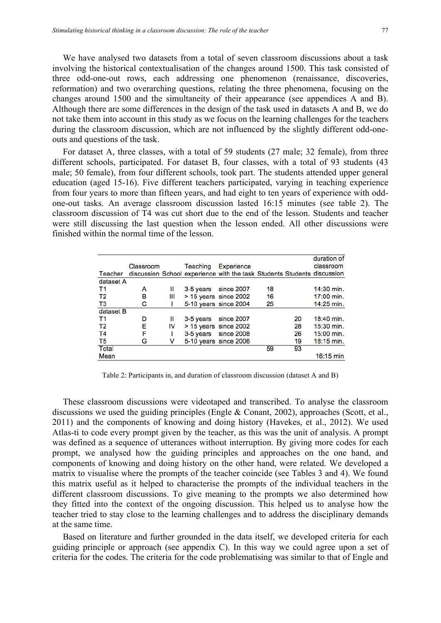We have analysed two datasets from a total of seven classroom discussions about a task involving the historical contextualisation of the changes around 1500. This task consisted of three odd-one-out rows, each addressing one phenomenon (renaissance, discoveries, reformation) and two overarching questions, relating the three phenomena, focusing on the changes around 1500 and the simultaneity of their appearance (see appendices A and B). Although there are some differences in the design of the task used in datasets A and B, we do not take them into account in this study as we focus on the learning challenges for the teachers during the classroom discussion, which are not influenced by the slightly different odd-oneouts and questions of the task.

For dataset A, three classes, with a total of 59 students (27 male; 32 female), from three different schools, participated. For dataset B, four classes, with a total of 93 students (43 male; 50 female), from four different schools, took part. The students attended upper general education (aged 15-16). Five different teachers participated, varying in teaching experience from four years to more than fifteen years, and had eight to ten years of experience with oddone-out tasks. An average classroom discussion lasted 16:15 minutes (see table 2). The classroom discussion of T4 was cut short due to the end of the lesson. Students and teacher were still discussing the last question when the lesson ended. All other discussions were finished within the normal time of the lesson.

| Teacher        | Classroom |    | Teaching  | <b>Experience</b><br>discussion School experience with the task Students Students discussion |    |    | duration of<br>classroom |
|----------------|-----------|----|-----------|----------------------------------------------------------------------------------------------|----|----|--------------------------|
| dataset A      |           |    |           |                                                                                              |    |    |                          |
| T1             | А         | Ш  | 3-5 years | since 2007                                                                                   | 18 |    | 14:30 min.               |
| T2             | в         | Ш  |           | $>$ 15 years since 2002                                                                      | 16 |    | $17:00$ min.             |
| ТЗ             | с         |    |           | 5-10 years since 2004                                                                        | 25 |    | 14:25 min.               |
| dataset B      |           |    |           |                                                                                              |    |    |                          |
| T1             | D         | Ш  | 3-5 years | since 2007                                                                                   |    | 20 | $18:40$ min.             |
| T2             | Е         | IV |           | $> 15$ years since 2002                                                                      |    | 28 | $15:30$ min.             |
| T4             | F         |    |           | 3-5 years since 2008                                                                         |    | 26 | $15:00$ min.             |
| T <sub>5</sub> | G         | v  |           | 5-10 years since 2006                                                                        |    | 19 | $18:15$ min.             |
| <b>Total</b>   |           |    |           |                                                                                              | 59 | 93 |                          |
| Mean           |           |    |           |                                                                                              |    |    | $16:15 \text{ min}$      |

Table 2: Participants in, and duration of classroom discussion (dataset A and B)

These classroom discussions were videotaped and transcribed. To analyse the classroom discussions we used the guiding principles (Engle & Conant, 2002), approaches (Scott, et al., 2011) and the components of knowing and doing history (Havekes, et al., 2012). We used Atlas-ti to code every prompt given by the teacher, as this was the unit of analysis. A prompt was defined as a sequence of utterances without interruption. By giving more codes for each prompt, we analysed how the guiding principles and approaches on the one hand, and components of knowing and doing history on the other hand, were related. We developed a matrix to visualise where the prompts of the teacher coincide (see Tables 3 and 4). We found this matrix useful as it helped to characterise the prompts of the individual teachers in the different classroom discussions. To give meaning to the prompts we also determined how they fitted into the context of the ongoing discussion. This helped us to analyse how the teacher tried to stay close to the learning challenges and to address the disciplinary demands at the same time.

Based on literature and further grounded in the data itself, we developed criteria for each guiding principle or approach (see appendix C). In this way we could agree upon a set of criteria for the codes. The criteria for the code problematising was similar to that of Engle and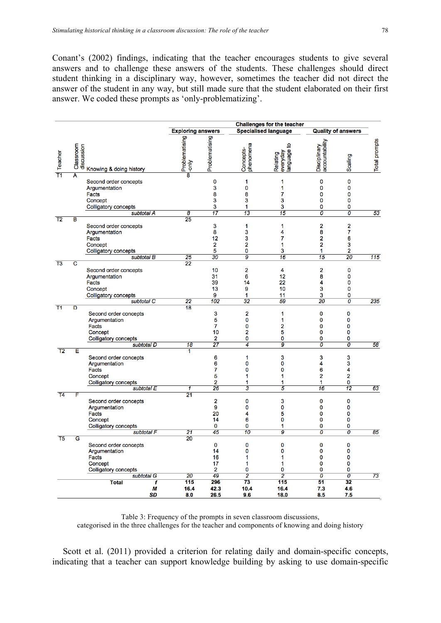Conant's (2002) findings, indicating that the teacher encourages students to give several answers and to challenge these answers of the students. These challenges should direct student thinking in a disciplinary way, however, sometimes the teacher did not direct the answer of the student in any way, but still made sure that the student elaborated on their first answer. We coded these prompts as 'only-problematizing'.

|                 |                         |                                                                                                                                                   |                                          |                                                     |                                                                                   | <b>Challenges for the teacher</b>                |                                                              |                                                                             |
|-----------------|-------------------------|---------------------------------------------------------------------------------------------------------------------------------------------------|------------------------------------------|-----------------------------------------------------|-----------------------------------------------------------------------------------|--------------------------------------------------|--------------------------------------------------------------|-----------------------------------------------------------------------------|
|                 |                         |                                                                                                                                                   | <b>Exploring answers</b>                 |                                                     |                                                                                   | <b>Specialised language</b>                      | <b>Quality of answers</b>                                    |                                                                             |
| <b>Teacher</b>  | Classroom<br>discussion | Knowing & doing history                                                                                                                           | Problematising<br>$\frac{2}{\sqrt{100}}$ | Problematising                                      | phenomena<br>Concepts-                                                            | ೆ<br>language<br>Relating<br>everyday            | accountability<br>Disciplinary                               | <b>Total prompts</b><br>Scaling                                             |
|                 | A                       | Second order concepts<br>Argumentation<br><b>Facts</b><br>Concept<br><b>Colligatory concepts</b><br>subtotal A                                    | $\overline{\boldsymbol{\theta}}$         | 0<br>3<br>8<br>3<br>3<br>17                         | 1<br>$\mathbf{0}$<br>8<br>3<br>1<br>13                                            | 1<br>1<br>$\overline{7}$<br>3<br>3<br>15         | 0<br>0<br>0<br>0<br>0<br>$\overline{o}$                      | 0<br>0<br>0<br>0<br>0<br>$\overline{o}$<br>53                               |
| $\overline{12}$ | в                       | Second order concepts<br>Argumentation<br><b>Facts</b><br>Concept<br><b>Colligatory concepts</b>                                                  | $\overline{25}$                          | 3<br>8<br>12<br>$\overline{2}$<br>5                 | 1<br>3<br>3<br>$\overline{2}$<br>0                                                | 1<br>4<br>7<br>1<br>3                            | $\overline{a}$<br>8<br>$\overline{2}$<br>$\overline{2}$<br>1 | $\overline{a}$<br>7<br>6<br>3<br>2                                          |
| T <sub>3</sub>  | $\overline{\text{c}}$   | subtotal B<br>Second order concepts<br>Argumentation<br><b>Facts</b><br>Concept<br><b>Colligatory concepts</b><br>subtotal C                      | 25<br>$\overline{22}$<br>22              | $\overline{30}$<br>10<br>31<br>39<br>13<br>9<br>102 | $\overline{g}$<br>$\overline{\mathbf{2}}$<br>6<br>14<br>9<br>1<br>$\overline{32}$ | 16<br>4<br>12<br>22<br>10<br>11<br>59            | $\overline{15}$<br>$\overline{2}$<br>8<br>4<br>3<br>3<br>20  | 115<br>20<br>0<br>0<br>0<br>0<br>0<br>235<br>0                              |
| T1              | D                       | Second order concepts<br>Argumentation<br><b>Facts</b><br>Concept<br>Colligatory concepts<br>subtotal D                                           | 18<br>18                                 | 3<br>5<br>7<br>10<br>$\overline{2}$<br>27           | 2<br>0<br>0<br>$\overline{a}$<br>0<br>$\overline{4}$                              | 1<br>1<br>2<br>5<br>0<br>g                       | 0<br>0<br>0<br>0<br>0<br>$\overline{o}$                      | 0<br>0<br>0<br>0<br>0<br>$\overline{o}$<br>58                               |
| T2              | E                       | Second order concepts<br>Argumentation<br><b>Facts</b><br>Concept<br>Colligatory concepts<br>subtotal E                                           | ī<br>1                                   | 6<br>6<br>7<br>5<br>$\overline{a}$<br>26            | 1<br>0<br>0<br>1<br>1<br>3                                                        | 3<br>0<br>0<br>1<br>1<br>5                       | 3<br>4<br>6<br>2<br>1<br>$\overline{16}$                     | 3<br>3<br>4<br>2<br>0<br>$\overline{12}$<br>63                              |
| T <sub>4</sub>  | F                       | Second order concepts<br>Argumentation<br><b>Facts</b><br>Concept<br><b>Colligatory concepts</b>                                                  | $\overline{21}$                          | $\overline{\mathbf{2}}$<br>9<br>20<br>14<br>0       | 0<br>0<br>4<br>6<br>0                                                             | 3<br>0<br>5<br>0<br>1                            | 0<br>0<br>0<br>0<br>0                                        | 0<br>0<br>0<br>0<br>0                                                       |
| T <sub>5</sub>  | $\overline{\mathsf{G}}$ | subtotal F<br>Second order concepts<br>Argumentation<br><b>Facts</b><br>Concept<br><b>Colligatory concepts</b><br>subtotal G<br><b>Total</b><br>f | 21<br>$\overline{20}$<br>20<br>115       | 45<br>0<br>14<br>16<br>17<br>2<br>49<br>296         | 10<br>0<br>0<br>1<br>1<br>0<br>2<br>73                                            | g<br>0<br>$\mathbf 0$<br>1<br>1<br>0<br>2<br>115 | $\overline{o}$<br>0<br>0<br>0<br>0<br>0<br>0<br>51           | $\overline{o}$<br>85<br>0<br>0<br>0<br>0<br>0<br>ō<br>$\overline{73}$<br>32 |
|                 |                         | М<br>SD                                                                                                                                           | 16.4<br>8.0                              | 42.3<br>26.5                                        | 10.4<br>9.6                                                                       | 16.4<br>18.0                                     | 7.3<br>8.5                                                   | 4.6<br>7.5                                                                  |

Table 3: Frequency of the prompts in seven classroom discussions, categorised in the three challenges for the teacher and components of knowing and doing history

Scott et al. (2011) provided a criterion for relating daily and domain-specific concepts, indicating that a teacher can support knowledge building by asking to use domain-specific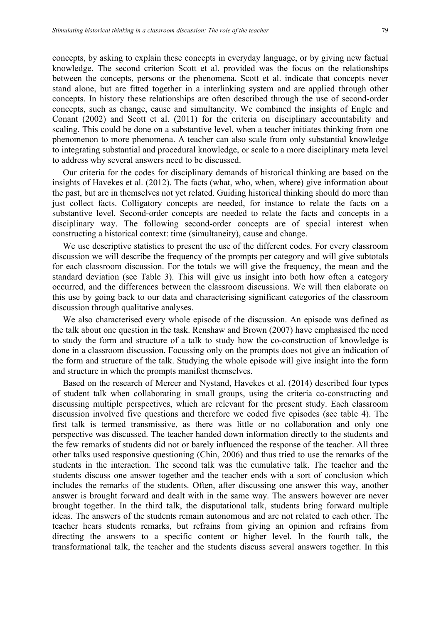concepts, by asking to explain these concepts in everyday language, or by giving new factual knowledge. The second criterion Scott et al. provided was the focus on the relationships between the concepts, persons or the phenomena. Scott et al. indicate that concepts never stand alone, but are fitted together in a interlinking system and are applied through other concepts. In history these relationships are often described through the use of second-order concepts, such as change, cause and simultaneity. We combined the insights of Engle and Conant (2002) and Scott et al. (2011) for the criteria on disciplinary accountability and scaling. This could be done on a substantive level, when a teacher initiates thinking from one phenomenon to more phenomena. A teacher can also scale from only substantial knowledge to integrating substantial and procedural knowledge, or scale to a more disciplinary meta level to address why several answers need to be discussed.

Our criteria for the codes for disciplinary demands of historical thinking are based on the insights of Havekes et al. (2012). The facts (what, who, when, where) give information about the past, but are in themselves not yet related. Guiding historical thinking should do more than just collect facts. Colligatory concepts are needed, for instance to relate the facts on a substantive level. Second-order concepts are needed to relate the facts and concepts in a disciplinary way. The following second-order concepts are of special interest when constructing a historical context: time (simultaneity), cause and change.

We use descriptive statistics to present the use of the different codes. For every classroom discussion we will describe the frequency of the prompts per category and will give subtotals for each classroom discussion. For the totals we will give the frequency, the mean and the standard deviation (see Table 3). This will give us insight into both how often a category occurred, and the differences between the classroom discussions. We will then elaborate on this use by going back to our data and characterising significant categories of the classroom discussion through qualitative analyses.

We also characterised every whole episode of the discussion. An episode was defined as the talk about one question in the task. Renshaw and Brown (2007) have emphasised the need to study the form and structure of a talk to study how the co-construction of knowledge is done in a classroom discussion. Focussing only on the prompts does not give an indication of the form and structure of the talk. Studying the whole episode will give insight into the form and structure in which the prompts manifest themselves.

Based on the research of Mercer and Nystand, Havekes et al. (2014) described four types of student talk when collaborating in small groups, using the criteria co-constructing and discussing multiple perspectives, which are relevant for the present study. Each classroom discussion involved five questions and therefore we coded five episodes (see table 4). The first talk is termed transmissive, as there was little or no collaboration and only one perspective was discussed. The teacher handed down information directly to the students and the few remarks of students did not or barely influenced the response of the teacher. All three other talks used responsive questioning (Chin, 2006) and thus tried to use the remarks of the students in the interaction. The second talk was the cumulative talk. The teacher and the students discuss one answer together and the teacher ends with a sort of conclusion which includes the remarks of the students. Often, after discussing one answer this way, another answer is brought forward and dealt with in the same way. The answers however are never brought together. In the third talk, the disputational talk, students bring forward multiple ideas. The answers of the students remain autonomous and are not related to each other. The teacher hears students remarks, but refrains from giving an opinion and refrains from directing the answers to a specific content or higher level. In the fourth talk, the transformational talk, the teacher and the students discuss several answers together. In this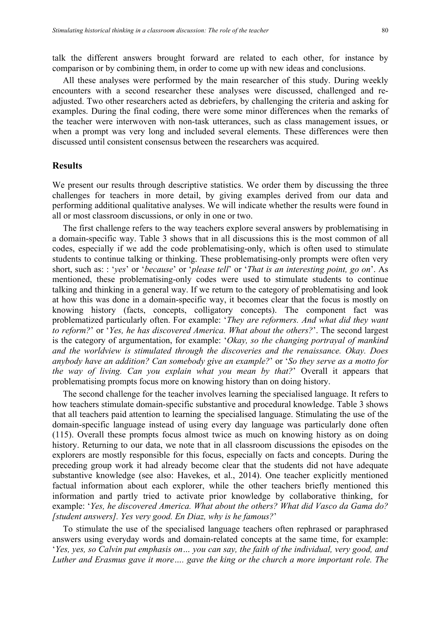talk the different answers brought forward are related to each other, for instance by comparison or by combining them, in order to come up with new ideas and conclusions.

All these analyses were performed by the main researcher of this study. During weekly encounters with a second researcher these analyses were discussed, challenged and readjusted. Two other researchers acted as debriefers, by challenging the criteria and asking for examples. During the final coding, there were some minor differences when the remarks of the teacher were interwoven with non-task utterances, such as class management issues, or when a prompt was very long and included several elements. These differences were then discussed until consistent consensus between the researchers was acquired.

#### **Results**

We present our results through descriptive statistics. We order them by discussing the three challenges for teachers in more detail, by giving examples derived from our data and performing additional qualitative analyses. We will indicate whether the results were found in all or most classroom discussions, or only in one or two.

The first challenge refers to the way teachers explore several answers by problematising in a domain-specific way. Table 3 shows that in all discussions this is the most common of all codes, especially if we add the code problematising-only, which is often used to stimulate students to continue talking or thinking. These problematising-only prompts were often very short, such as: : '*yes*' or '*because*' or '*please tell*' or '*That is an interesting point, go on*'. As mentioned, these problematising-only codes were used to stimulate students to continue talking and thinking in a general way. If we return to the category of problematising and look at how this was done in a domain-specific way, it becomes clear that the focus is mostly on knowing history (facts, concepts, colligatory concepts). The component fact was problematized particularly often. For example: '*They are reformers. And what did they want to reform?*' or '*Yes, he has discovered America. What about the others?*'. The second largest is the category of argumentation, for example: '*Okay, so the changing portrayal of mankind and the worldview is stimulated through the discoveries and the renaissance. Okay. Does anybody have an addition? Can somebody give an example?*' or '*So they serve as a motto for the way of living. Can you explain what you mean by that?*' Overall it appears that problematising prompts focus more on knowing history than on doing history.

The second challenge for the teacher involves learning the specialised language. It refers to how teachers stimulate domain-specific substantive and procedural knowledge. Table 3 shows that all teachers paid attention to learning the specialised language. Stimulating the use of the domain-specific language instead of using every day language was particularly done often (115). Overall these prompts focus almost twice as much on knowing history as on doing history. Returning to our data, we note that in all classroom discussions the episodes on the explorers are mostly responsible for this focus, especially on facts and concepts. During the preceding group work it had already become clear that the students did not have adequate substantive knowledge (see also: Havekes, et al., 2014). One teacher explicitly mentioned factual information about each explorer, while the other teachers briefly mentioned this information and partly tried to activate prior knowledge by collaborative thinking, for example: '*Yes, he discovered America. What about the others? What did Vasco da Gama do? [student answers]. Yes very good. En Diaz, why is he famous?*'

To stimulate the use of the specialised language teachers often rephrased or paraphrased answers using everyday words and domain-related concepts at the same time, for example: '*Yes, yes, so Calvin put emphasis on… you can say, the faith of the individual, very good, and Luther and Erasmus gave it more…. gave the king or the church a more important role. The*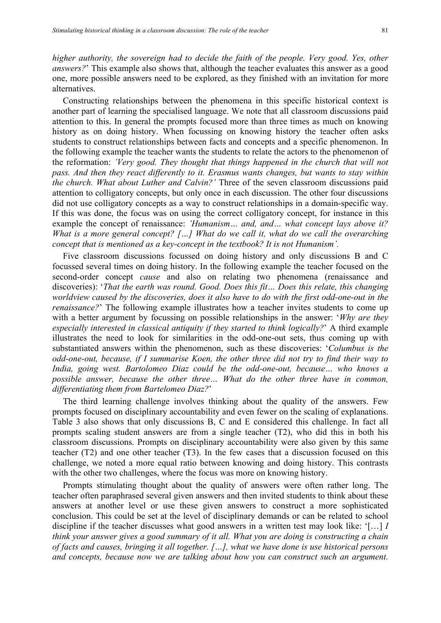*higher authority, the sovereign had to decide the faith of the people. Very good. Yes, other answers?*' This example also shows that, although the teacher evaluates this answer as a good one, more possible answers need to be explored, as they finished with an invitation for more alternatives.

Constructing relationships between the phenomena in this specific historical context is another part of learning the specialised language. We note that all classroom discussions paid attention to this. In general the prompts focused more than three times as much on knowing history as on doing history. When focussing on knowing history the teacher often asks students to construct relationships between facts and concepts and a specific phenomenon. In the following example the teacher wants the students to relate the actors to the phenomenon of the reformation: *'Very good. They thought that things happened in the church that will not pass. And then they react differently to it. Erasmus wants changes, but wants to stay within the church. What about Luther and Calvin?'* Three of the seven classroom discussions paid attention to colligatory concepts, but only once in each discussion. The other four discussions did not use colligatory concepts as a way to construct relationships in a domain-specific way. If this was done, the focus was on using the correct colligatory concept, for instance in this example the concept of renaissance: *'Humanism… and, and… what concept lays above it? What is a more general concept? […] What do we call it, what do we call the overarching concept that is mentioned as a key-concept in the textbook? It is not Humanism'.*

Five classroom discussions focussed on doing history and only discussions B and C focussed several times on doing history. In the following example the teacher focused on the second-order concept *cause* and also on relating two phenomena (renaissance and discoveries): '*That the earth was round. Good. Does this fit… Does this relate, this changing worldview caused by the discoveries, does it also have to do with the first odd-one-out in the renaissance?*' The following example illustrates how a teacher invites students to come up with a better argument by focussing on possible relationships in the answer: '*Why are they especially interested in classical antiquity if they started to think logically?*' A third example illustrates the need to look for similarities in the odd-one-out sets, thus coming up with substantiated answers within the phenomenon, such as these discoveries: '*Columbus is the odd-one-out, because, if I summarise Koen, the other three did not try to find their way to India, going west. Bartolomeo Diaz could be the odd-one-out, because… who knows a possible answer, because the other three… What do the other three have in common, differentiating them from Bartelomeo Diaz?*'

The third learning challenge involves thinking about the quality of the answers. Few prompts focused on disciplinary accountability and even fewer on the scaling of explanations. Table 3 also shows that only discussions B, C and E considered this challenge. In fact all prompts scaling student answers are from a single teacher (T2), who did this in both his classroom discussions. Prompts on disciplinary accountability were also given by this same teacher (T2) and one other teacher (T3). In the few cases that a discussion focused on this challenge, we noted a more equal ratio between knowing and doing history. This contrasts with the other two challenges, where the focus was more on knowing history.

Prompts stimulating thought about the quality of answers were often rather long. The teacher often paraphrased several given answers and then invited students to think about these answers at another level or use these given answers to construct a more sophisticated conclusion. This could be set at the level of disciplinary demands or can be related to school discipline if the teacher discusses what good answers in a written test may look like: '[…] *I think your answer gives a good summary of it all. What you are doing is constructing a chain of facts and causes, bringing it all together. […], what we have done is use historical persons and concepts, because now we are talking about how you can construct such an argument.*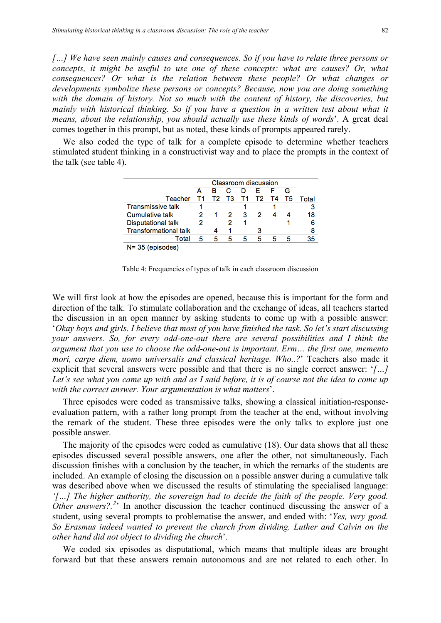*[…] We have seen mainly causes and consequences. So if you have to relate three persons or concepts, it might be useful to use one of these concepts: what are causes? Or, what consequences? Or what is the relation between these people? Or what changes or developments symbolize these persons or concepts? Because, now you are doing something*  with the domain of history. Not so much with the content of history, the discoveries, but *mainly with historical thinking. So if you have a question in a written test about what it means, about the relationship, you should actually use these kinds of words*'. A great deal comes together in this prompt, but as noted, these kinds of prompts appeared rarely.

We also coded the type of talk for a complete episode to determine whether teachers stimulated student thinking in a constructivist way and to place the prompts in the context of the talk (see table 4).

|                              |   |             |   |   | <b>Classroom discussion</b> |      |    |       |
|------------------------------|---|-------------|---|---|-----------------------------|------|----|-------|
|                              |   | в           |   | D | F                           |      |    |       |
| Teacher T1                   |   | T2 T3 T1 T2 |   |   |                             | - T4 | T5 | Total |
| <b>Transmissive talk</b>     |   |             |   |   |                             |      |    |       |
| <b>Cumulative talk</b>       |   |             |   | з | 2                           |      |    | 18    |
| <b>Disputational talk</b>    |   |             |   |   |                             |      |    | 6     |
| <b>Transformational talk</b> |   |             |   |   |                             |      |    | 8     |
| Total                        | Б | Б           | 5 | 5 | 5                           | 5    | Б  | 35    |
| $N = 35$ (episodes)          |   |             |   |   |                             |      |    |       |

Table 4: Frequencies of types of talk in each classroom discussion

We will first look at how the episodes are opened, because this is important for the form and direction of the talk. To stimulate collaboration and the exchange of ideas, all teachers started the discussion in an open manner by asking students to come up with a possible answer: '*Okay boys and girls. I believe that most of you have finished the task. So let's start discussing your answers. So, for every odd-one-out there are several possibilities and I think the argument that you use to choose the odd-one-out is important. Erm… the first one, memento mori, carpe diem, uomo universalis and classical heritage. Who..?*' Teachers also made it explicit that several answers were possible and that there is no single correct answer: '*[…] Let's see what you came up with and as I said before, it is of course not the idea to come up with the correct answer. Your argumentation is what matters*'.

Three episodes were coded as transmissive talks, showing a classical initiation-responseevaluation pattern, with a rather long prompt from the teacher at the end, without involving the remark of the student. These three episodes were the only talks to explore just one possible answer.

The majority of the episodes were coded as cumulative (18). Our data shows that all these episodes discussed several possible answers, one after the other, not simultaneously. Each discussion finishes with a conclusion by the teacher, in which the remarks of the students are included. An example of closing the discussion on a possible answer during a cumulative talk was described above when we discussed the results of stimulating the specialised language: *'[…] The higher authority, the sovereign had to decide the faith of the people. Very good. Other answers?*<sup>2</sup> In another discussion the teacher continued discussing the answer of a student, using several prompts to problematise the answer, and ended with: '*Yes, very good. So Erasmus indeed wanted to prevent the church from dividing. Luther and Calvin on the other hand did not object to dividing the church*'.

We coded six episodes as disputational, which means that multiple ideas are brought forward but that these answers remain autonomous and are not related to each other. In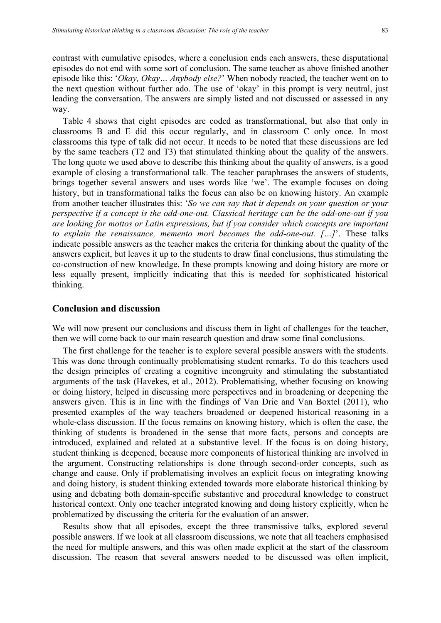contrast with cumulative episodes, where a conclusion ends each answers, these disputational

episodes do not end with some sort of conclusion. The same teacher as above finished another episode like this: '*Okay, Okay… Anybody else?*' When nobody reacted, the teacher went on to the next question without further ado. The use of 'okay' in this prompt is very neutral, just leading the conversation. The answers are simply listed and not discussed or assessed in any way.

Table 4 shows that eight episodes are coded as transformational, but also that only in classrooms B and E did this occur regularly, and in classroom C only once. In most classrooms this type of talk did not occur. It needs to be noted that these discussions are led by the same teachers (T2 and T3) that stimulated thinking about the quality of the answers. The long quote we used above to describe this thinking about the quality of answers, is a good example of closing a transformational talk. The teacher paraphrases the answers of students, brings together several answers and uses words like 'we'. The example focuses on doing history, but in transformational talks the focus can also be on knowing history. An example from another teacher illustrates this: '*So we can say that it depends on your question or your perspective if a concept is the odd-one-out. Classical heritage can be the odd-one-out if you are looking for mottos or Latin expressions, but if you consider which concepts are important to explain the renaissance, memento mori becomes the odd-one-out. […]*'. These talks indicate possible answers as the teacher makes the criteria for thinking about the quality of the answers explicit, but leaves it up to the students to draw final conclusions, thus stimulating the co-construction of new knowledge. In these prompts knowing and doing history are more or less equally present, implicitly indicating that this is needed for sophisticated historical thinking.

# **Conclusion and discussion**

We will now present our conclusions and discuss them in light of challenges for the teacher, then we will come back to our main research question and draw some final conclusions.

The first challenge for the teacher is to explore several possible answers with the students. This was done through continually problematising student remarks. To do this teachers used the design principles of creating a cognitive incongruity and stimulating the substantiated arguments of the task (Havekes, et al., 2012). Problematising, whether focusing on knowing or doing history, helped in discussing more perspectives and in broadening or deepening the answers given. This is in line with the findings of Van Drie and Van Boxtel (2011), who presented examples of the way teachers broadened or deepened historical reasoning in a whole-class discussion. If the focus remains on knowing history, which is often the case, the thinking of students is broadened in the sense that more facts, persons and concepts are introduced, explained and related at a substantive level. If the focus is on doing history, student thinking is deepened, because more components of historical thinking are involved in the argument. Constructing relationships is done through second-order concepts, such as change and cause. Only if problematising involves an explicit focus on integrating knowing and doing history, is student thinking extended towards more elaborate historical thinking by using and debating both domain-specific substantive and procedural knowledge to construct historical context. Only one teacher integrated knowing and doing history explicitly, when he problematized by discussing the criteria for the evaluation of an answer.

Results show that all episodes, except the three transmissive talks, explored several possible answers. If we look at all classroom discussions, we note that all teachers emphasised the need for multiple answers, and this was often made explicit at the start of the classroom discussion. The reason that several answers needed to be discussed was often implicit,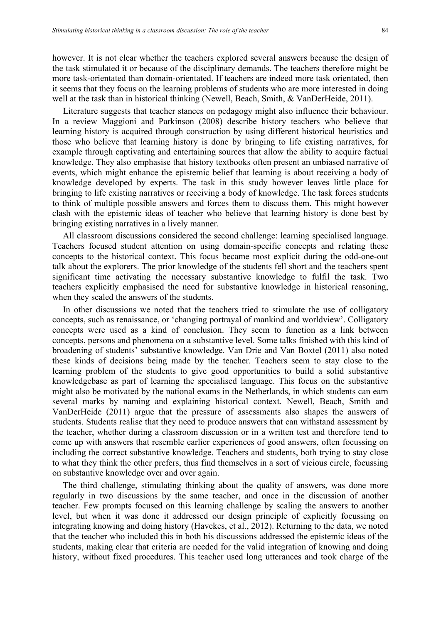however. It is not clear whether the teachers explored several answers because the design of the task stimulated it or because of the disciplinary demands. The teachers therefore might be more task-orientated than domain-orientated. If teachers are indeed more task orientated, then it seems that they focus on the learning problems of students who are more interested in doing well at the task than in historical thinking (Newell, Beach, Smith, & VanDerHeide, 2011).

Literature suggests that teacher stances on pedagogy might also influence their behaviour. In a review Maggioni and Parkinson (2008) describe history teachers who believe that learning history is acquired through construction by using different historical heuristics and those who believe that learning history is done by bringing to life existing narratives, for example through captivating and entertaining sources that allow the ability to acquire factual knowledge. They also emphasise that history textbooks often present an unbiased narrative of events, which might enhance the epistemic belief that learning is about receiving a body of knowledge developed by experts. The task in this study however leaves little place for bringing to life existing narratives or receiving a body of knowledge. The task forces students to think of multiple possible answers and forces them to discuss them. This might however clash with the epistemic ideas of teacher who believe that learning history is done best by bringing existing narratives in a lively manner.

All classroom discussions considered the second challenge: learning specialised language. Teachers focused student attention on using domain-specific concepts and relating these concepts to the historical context. This focus became most explicit during the odd-one-out talk about the explorers. The prior knowledge of the students fell short and the teachers spent significant time activating the necessary substantive knowledge to fulfil the task. Two teachers explicitly emphasised the need for substantive knowledge in historical reasoning, when they scaled the answers of the students.

In other discussions we noted that the teachers tried to stimulate the use of colligatory concepts, such as renaissance, or 'changing portrayal of mankind and worldview'. Colligatory concepts were used as a kind of conclusion. They seem to function as a link between concepts, persons and phenomena on a substantive level. Some talks finished with this kind of broadening of students' substantive knowledge. Van Drie and Van Boxtel (2011) also noted these kinds of decisions being made by the teacher. Teachers seem to stay close to the learning problem of the students to give good opportunities to build a solid substantive knowledgebase as part of learning the specialised language. This focus on the substantive might also be motivated by the national exams in the Netherlands, in which students can earn several marks by naming and explaining historical context. Newell, Beach, Smith and VanDerHeide (2011) argue that the pressure of assessments also shapes the answers of students. Students realise that they need to produce answers that can withstand assessment by the teacher, whether during a classroom discussion or in a written test and therefore tend to come up with answers that resemble earlier experiences of good answers, often focussing on including the correct substantive knowledge. Teachers and students, both trying to stay close to what they think the other prefers, thus find themselves in a sort of vicious circle, focussing on substantive knowledge over and over again.

The third challenge, stimulating thinking about the quality of answers, was done more regularly in two discussions by the same teacher, and once in the discussion of another teacher. Few prompts focused on this learning challenge by scaling the answers to another level, but when it was done it addressed our design principle of explicitly focussing on integrating knowing and doing history (Havekes, et al., 2012). Returning to the data, we noted that the teacher who included this in both his discussions addressed the epistemic ideas of the students, making clear that criteria are needed for the valid integration of knowing and doing history, without fixed procedures. This teacher used long utterances and took charge of the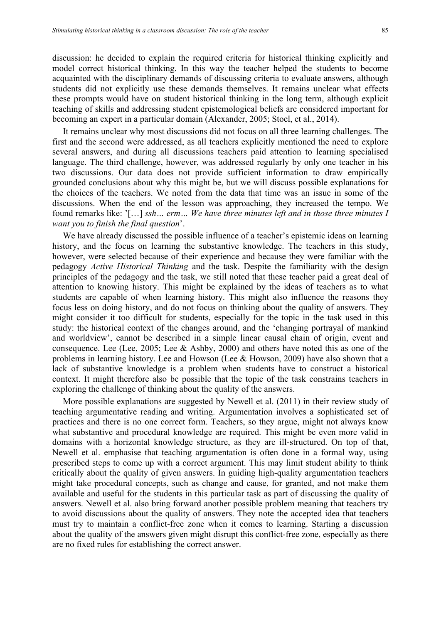discussion: he decided to explain the required criteria for historical thinking explicitly and model correct historical thinking. In this way the teacher helped the students to become acquainted with the disciplinary demands of discussing criteria to evaluate answers, although students did not explicitly use these demands themselves. It remains unclear what effects these prompts would have on student historical thinking in the long term, although explicit teaching of skills and addressing student epistemological beliefs are considered important for becoming an expert in a particular domain (Alexander, 2005; Stoel, et al., 2014).

It remains unclear why most discussions did not focus on all three learning challenges. The first and the second were addressed, as all teachers explicitly mentioned the need to explore several answers, and during all discussions teachers paid attention to learning specialised language. The third challenge, however, was addressed regularly by only one teacher in his two discussions. Our data does not provide sufficient information to draw empirically grounded conclusions about why this might be, but we will discuss possible explanations for the choices of the teachers. We noted from the data that time was an issue in some of the discussions. When the end of the lesson was approaching, they increased the tempo. We found remarks like: '[…] *ssh… erm… We have three minutes left and in those three minutes I want you to finish the final question*'.

We have already discussed the possible influence of a teacher's epistemic ideas on learning history, and the focus on learning the substantive knowledge. The teachers in this study, however, were selected because of their experience and because they were familiar with the pedagogy *Active Historical Thinking* and the task. Despite the familiarity with the design principles of the pedagogy and the task, we still noted that these teacher paid a great deal of attention to knowing history. This might be explained by the ideas of teachers as to what students are capable of when learning history. This might also influence the reasons they focus less on doing history, and do not focus on thinking about the quality of answers. They might consider it too difficult for students, especially for the topic in the task used in this study: the historical context of the changes around, and the 'changing portrayal of mankind and worldview', cannot be described in a simple linear causal chain of origin, event and consequence. Lee (Lee, 2005; Lee & Ashby, 2000) and others have noted this as one of the problems in learning history. Lee and Howson (Lee & Howson, 2009) have also shown that a lack of substantive knowledge is a problem when students have to construct a historical context. It might therefore also be possible that the topic of the task constrains teachers in exploring the challenge of thinking about the quality of the answers.

More possible explanations are suggested by Newell et al. (2011) in their review study of teaching argumentative reading and writing. Argumentation involves a sophisticated set of practices and there is no one correct form. Teachers, so they argue, might not always know what substantive and procedural knowledge are required. This might be even more valid in domains with a horizontal knowledge structure, as they are ill-structured. On top of that, Newell et al. emphasise that teaching argumentation is often done in a formal way, using prescribed steps to come up with a correct argument. This may limit student ability to think critically about the quality of given answers. In guiding high-quality argumentation teachers might take procedural concepts, such as change and cause, for granted, and not make them available and useful for the students in this particular task as part of discussing the quality of answers. Newell et al. also bring forward another possible problem meaning that teachers try to avoid discussions about the quality of answers. They note the accepted idea that teachers must try to maintain a conflict-free zone when it comes to learning. Starting a discussion about the quality of the answers given might disrupt this conflict-free zone, especially as there are no fixed rules for establishing the correct answer.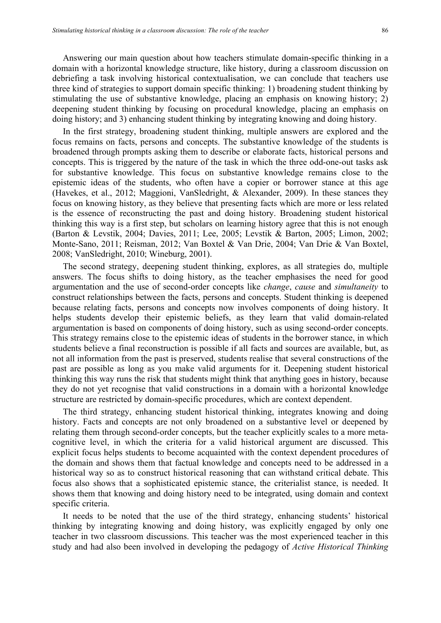Answering our main question about how teachers stimulate domain-specific thinking in a domain with a horizontal knowledge structure, like history, during a classroom discussion on debriefing a task involving historical contextualisation, we can conclude that teachers use three kind of strategies to support domain specific thinking: 1) broadening student thinking by stimulating the use of substantive knowledge, placing an emphasis on knowing history; 2) deepening student thinking by focusing on procedural knowledge, placing an emphasis on doing history; and 3) enhancing student thinking by integrating knowing and doing history.

In the first strategy, broadening student thinking, multiple answers are explored and the focus remains on facts, persons and concepts. The substantive knowledge of the students is broadened through prompts asking them to describe or elaborate facts, historical persons and concepts. This is triggered by the nature of the task in which the three odd-one-out tasks ask for substantive knowledge. This focus on substantive knowledge remains close to the epistemic ideas of the students, who often have a copier or borrower stance at this age (Havekes, et al., 2012; Maggioni, VanSledright, & Alexander, 2009). In these stances they focus on knowing history, as they believe that presenting facts which are more or less related is the essence of reconstructing the past and doing history. Broadening student historical thinking this way is a first step, but scholars on learning history agree that this is not enough (Barton & Levstik, 2004; Davies, 2011; Lee, 2005; Levstik & Barton, 2005; Limon, 2002; Monte-Sano, 2011; Reisman, 2012; Van Boxtel & Van Drie, 2004; Van Drie & Van Boxtel, 2008; VanSledright, 2010; Wineburg, 2001).

The second strategy, deepening student thinking, explores, as all strategies do, multiple answers. The focus shifts to doing history, as the teacher emphasises the need for good argumentation and the use of second-order concepts like *change*, *cause* and *simultaneity* to construct relationships between the facts, persons and concepts. Student thinking is deepened because relating facts, persons and concepts now involves components of doing history. It helps students develop their epistemic beliefs, as they learn that valid domain-related argumentation is based on components of doing history, such as using second-order concepts. This strategy remains close to the epistemic ideas of students in the borrower stance, in which students believe a final reconstruction is possible if all facts and sources are available, but, as not all information from the past is preserved, students realise that several constructions of the past are possible as long as you make valid arguments for it. Deepening student historical thinking this way runs the risk that students might think that anything goes in history, because they do not yet recognise that valid constructions in a domain with a horizontal knowledge structure are restricted by domain-specific procedures, which are context dependent.

The third strategy, enhancing student historical thinking, integrates knowing and doing history. Facts and concepts are not only broadened on a substantive level or deepened by relating them through second-order concepts, but the teacher explicitly scales to a more metacognitive level, in which the criteria for a valid historical argument are discussed. This explicit focus helps students to become acquainted with the context dependent procedures of the domain and shows them that factual knowledge and concepts need to be addressed in a historical way so as to construct historical reasoning that can withstand critical debate. This focus also shows that a sophisticated epistemic stance, the criterialist stance, is needed. It shows them that knowing and doing history need to be integrated, using domain and context specific criteria.

It needs to be noted that the use of the third strategy, enhancing students' historical thinking by integrating knowing and doing history, was explicitly engaged by only one teacher in two classroom discussions. This teacher was the most experienced teacher in this study and had also been involved in developing the pedagogy of *Active Historical Thinking*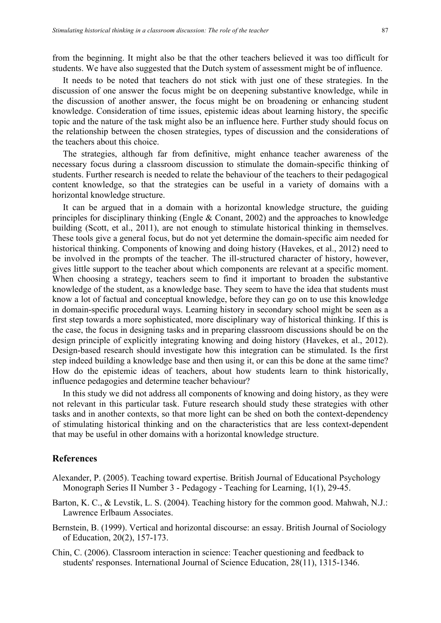from the beginning. It might also be that the other teachers believed it was too difficult for students. We have also suggested that the Dutch system of assessment might be of influence.

It needs to be noted that teachers do not stick with just one of these strategies. In the discussion of one answer the focus might be on deepening substantive knowledge, while in the discussion of another answer, the focus might be on broadening or enhancing student knowledge. Consideration of time issues, epistemic ideas about learning history, the specific topic and the nature of the task might also be an influence here. Further study should focus on the relationship between the chosen strategies, types of discussion and the considerations of the teachers about this choice.

The strategies, although far from definitive, might enhance teacher awareness of the necessary focus during a classroom discussion to stimulate the domain-specific thinking of students. Further research is needed to relate the behaviour of the teachers to their pedagogical content knowledge, so that the strategies can be useful in a variety of domains with a horizontal knowledge structure.

It can be argued that in a domain with a horizontal knowledge structure, the guiding principles for disciplinary thinking (Engle & Conant, 2002) and the approaches to knowledge building (Scott, et al., 2011), are not enough to stimulate historical thinking in themselves. These tools give a general focus, but do not yet determine the domain-specific aim needed for historical thinking. Components of knowing and doing history (Havekes, et al., 2012) need to be involved in the prompts of the teacher. The ill-structured character of history, however, gives little support to the teacher about which components are relevant at a specific moment. When choosing a strategy, teachers seem to find it important to broaden the substantive knowledge of the student, as a knowledge base. They seem to have the idea that students must know a lot of factual and conceptual knowledge, before they can go on to use this knowledge in domain-specific procedural ways. Learning history in secondary school might be seen as a first step towards a more sophisticated, more disciplinary way of historical thinking. If this is the case, the focus in designing tasks and in preparing classroom discussions should be on the design principle of explicitly integrating knowing and doing history (Havekes, et al., 2012). Design-based research should investigate how this integration can be stimulated. Is the first step indeed building a knowledge base and then using it, or can this be done at the same time? How do the epistemic ideas of teachers, about how students learn to think historically, influence pedagogies and determine teacher behaviour?

In this study we did not address all components of knowing and doing history, as they were not relevant in this particular task. Future research should study these strategies with other tasks and in another contexts, so that more light can be shed on both the context-dependency of stimulating historical thinking and on the characteristics that are less context-dependent that may be useful in other domains with a horizontal knowledge structure.

## **References**

- Alexander, P. (2005). Teaching toward expertise. British Journal of Educational Psychology Monograph Series II Number 3 - Pedagogy - Teaching for Learning, 1(1), 29-45.
- Barton, K. C., & Levstik, L. S. (2004). Teaching history for the common good. Mahwah, N.J.: Lawrence Erlbaum Associates.
- Bernstein, B. (1999). Vertical and horizontal discourse: an essay. British Journal of Sociology of Education, 20(2), 157-173.
- Chin, C. (2006). Classroom interaction in science: Teacher questioning and feedback to students' responses. International Journal of Science Education, 28(11), 1315-1346.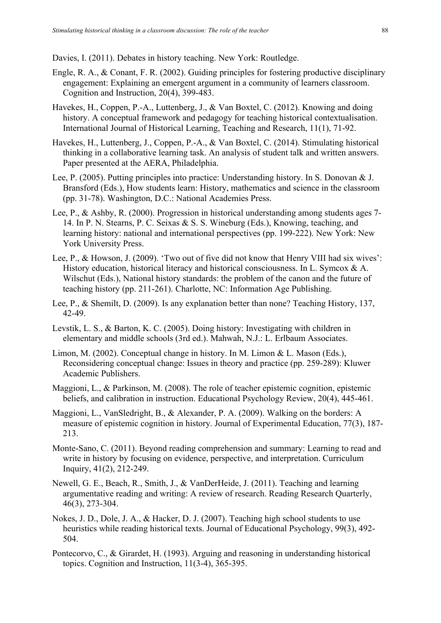Davies, I. (2011). Debates in history teaching. New York: Routledge.

- Engle, R. A., & Conant, F. R. (2002). Guiding principles for fostering productive disciplinary engagement: Explaining an emergent argument in a community of learners classroom. Cognition and Instruction, 20(4), 399-483.
- Havekes, H., Coppen, P.-A., Luttenberg, J., & Van Boxtel, C. (2012). Knowing and doing history. A conceptual framework and pedagogy for teaching historical contextualisation. International Journal of Historical Learning, Teaching and Research, 11(1), 71-92.
- Havekes, H., Luttenberg, J., Coppen, P.-A., & Van Boxtel, C. (2014). Stimulating historical thinking in a collaborative learning task. An analysis of student talk and written answers. Paper presented at the AERA, Philadelphia.
- Lee, P. (2005). Putting principles into practice: Understanding history. In S. Donovan & J. Bransford (Eds.), How students learn: History, mathematics and science in the classroom (pp. 31-78). Washington, D.C.: National Academies Press.
- Lee, P., & Ashby, R. (2000). Progression in historical understanding among students ages 7- 14. In P. N. Stearns, P. C. Seixas & S. S. Wineburg (Eds.), Knowing, teaching, and learning history: national and international perspectives (pp. 199-222). New York: New York University Press.
- Lee, P., & Howson, J. (2009). 'Two out of five did not know that Henry VIII had six wives': History education, historical literacy and historical consciousness. In L. Symcox & A. Wilschut (Eds.), National history standards: the problem of the canon and the future of teaching history (pp. 211-261). Charlotte, NC: Information Age Publishing.
- Lee, P., & Shemilt, D. (2009). Is any explanation better than none? Teaching History, 137, 42-49.
- Levstik, L. S., & Barton, K. C. (2005). Doing history: Investigating with children in elementary and middle schools (3rd ed.). Mahwah, N.J.: L. Erlbaum Associates.
- Limon, M. (2002). Conceptual change in history. In M. Limon & L. Mason (Eds.), Reconsidering conceptual change: Issues in theory and practice (pp. 259-289): Kluwer Academic Publishers.
- Maggioni, L., & Parkinson, M. (2008). The role of teacher epistemic cognition, epistemic beliefs, and calibration in instruction. Educational Psychology Review, 20(4), 445-461.
- Maggioni, L., VanSledright, B., & Alexander, P. A. (2009). Walking on the borders: A measure of epistemic cognition in history. Journal of Experimental Education, 77(3), 187- 213.
- Monte-Sano, C. (2011). Beyond reading comprehension and summary: Learning to read and write in history by focusing on evidence, perspective, and interpretation. Curriculum Inquiry, 41(2), 212-249.
- Newell, G. E., Beach, R., Smith, J., & VanDerHeide, J. (2011). Teaching and learning argumentative reading and writing: A review of research. Reading Research Quarterly, 46(3), 273-304.
- Nokes, J. D., Dole, J. A., & Hacker, D. J. (2007). Teaching high school students to use heuristics while reading historical texts. Journal of Educational Psychology, 99(3), 492- 504.
- Pontecorvo, C., & Girardet, H. (1993). Arguing and reasoning in understanding historical topics. Cognition and Instruction, 11(3-4), 365-395.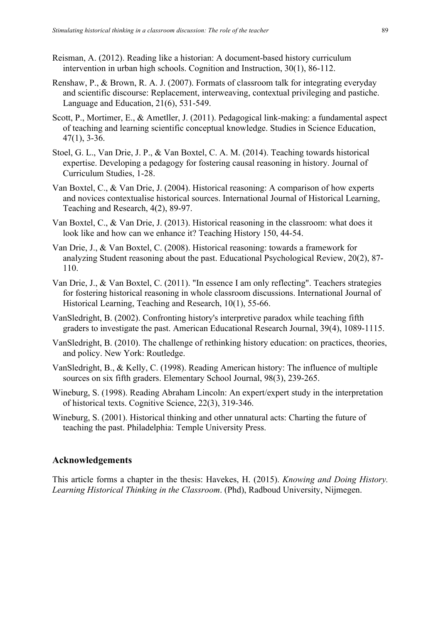- Reisman, A. (2012). Reading like a historian: A document-based history curriculum intervention in urban high schools. Cognition and Instruction, 30(1), 86-112.
- Renshaw, P., & Brown, R. A. J. (2007). Formats of classroom talk for integrating everyday and scientific discourse: Replacement, interweaving, contextual privileging and pastiche. Language and Education, 21(6), 531-549.
- Scott, P., Mortimer, E., & Ametller, J. (2011). Pedagogical link-making: a fundamental aspect of teaching and learning scientific conceptual knowledge. Studies in Science Education, 47(1), 3-36.
- Stoel, G. L., Van Drie, J. P., & Van Boxtel, C. A. M. (2014). Teaching towards historical expertise. Developing a pedagogy for fostering causal reasoning in history. Journal of Curriculum Studies, 1-28.
- Van Boxtel, C., & Van Drie, J. (2004). Historical reasoning: A comparison of how experts and novices contextualise historical sources. International Journal of Historical Learning, Teaching and Research, 4(2), 89-97.
- Van Boxtel, C., & Van Drie, J. (2013). Historical reasoning in the classroom: what does it look like and how can we enhance it? Teaching History 150, 44-54.
- Van Drie, J., & Van Boxtel, C. (2008). Historical reasoning: towards a framework for analyzing Student reasoning about the past. Educational Psychological Review, 20(2), 87- 110.
- Van Drie, J., & Van Boxtel, C. (2011). "In essence I am only reflecting". Teachers strategies for fostering historical reasoning in whole classroom discussions. International Journal of Historical Learning, Teaching and Research, 10(1), 55-66.
- VanSledright, B. (2002). Confronting history's interpretive paradox while teaching fifth graders to investigate the past. American Educational Research Journal, 39(4), 1089-1115.
- VanSledright, B. (2010). The challenge of rethinking history education: on practices, theories, and policy. New York: Routledge.
- VanSledright, B., & Kelly, C. (1998). Reading American history: The influence of multiple sources on six fifth graders. Elementary School Journal, 98(3), 239-265.
- Wineburg, S. (1998). Reading Abraham Lincoln: An expert/expert study in the interpretation of historical texts. Cognitive Science, 22(3), 319-346.
- Wineburg, S. (2001). Historical thinking and other unnatural acts: Charting the future of teaching the past. Philadelphia: Temple University Press.

# **Acknowledgements**

This article forms a chapter in the thesis: Havekes, H. (2015). *Knowing and Doing History. Learning Historical Thinking in the Classroom*. (Phd), Radboud University, Nijmegen.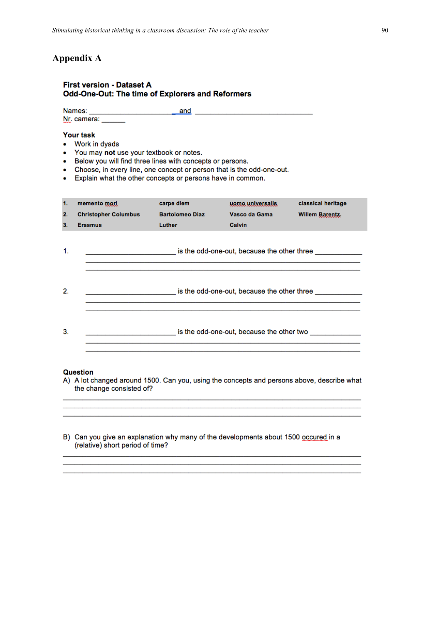# **Appendix A**

#### **First version - Dataset A** Odd-One-Out: The time of Explorers and Reformers

Names: Nr. camera:

#### **Your task**

- Work in dyads  $\bullet$
- You may not use your textbook or notes.  $\bullet$
- Below you will find three lines with concepts or persons.
- Choose, in every line, one concept or person that is the odd-one-out.
- Explain what the other concepts or persons have in common.

| $\mathbf{1}$<br>2.<br>3. | memento mori<br><b>Christopher Columbus</b><br><b>Erasmus</b> | carpe diem<br><b>Bartolomeo Diaz</b><br>Luther | uomo universalis<br>Vasco da Gama<br>Calvin | classical heritage<br>Willem Barentz. |
|--------------------------|---------------------------------------------------------------|------------------------------------------------|---------------------------------------------|---------------------------------------|
| 1.                       |                                                               | is the odd-one-out, because the other three    |                                             |                                       |
| 2.                       |                                                               |                                                | is the odd-one-out, because the other three |                                       |
| 3.                       |                                                               |                                                | is the odd-one-out, because the other two   |                                       |

#### **Question**

A) A lot changed around 1500. Can you, using the concepts and persons above, describe what the change consisted of?

and the control of the control of the control of the control of the control of the control of the control of the

B) Can you give an explanation why many of the developments about 1500 occured in a (relative) short period of time?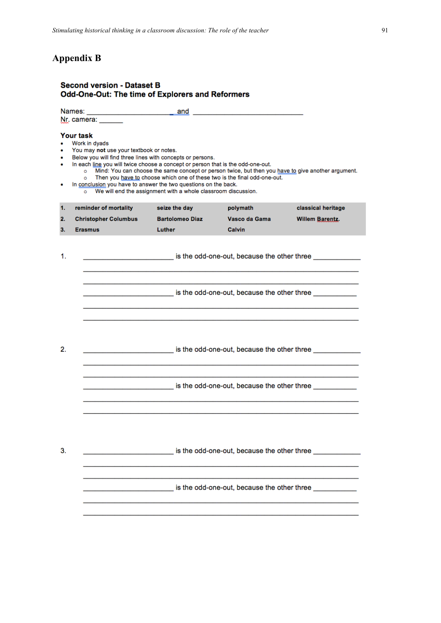# **Appendix B**

#### **Second version - Dataset B** Odd-One-Out: The time of Explorers and Reformers

Names: and the contract of the contract of the contract of the contract of the contract of the contract of the contract of the contract of the contract of the contract of the contract of the contract of the contract of the contra Nr. camera: Your task Work in dyads You may not use your textbook or notes. Below you will find three lines with concepts or persons. In each line you will twice choose a concept or person that is the odd-one-out. o Mind: You can choose the same concept or person twice, but then you have to give another argument.<br>
Then you have to choose which one of these two is the final odd-one-out. In conclusion you have to answer the two questions on the back. We will end the assignment with a whole classroom discussion.  $\overline{\circ}$  $\mathbf{1}$ reminder of mortality seize the day polymath classical heritage  $2.$ **Christopher Columbus Bartolomeo Diaz** Vasco da Gama **Willem Barentz.** Luther Calvin  $\mathbf{a}$ **Erasmus**  $\mathbf{1}$ . is the odd-one-out, because the other three \_\_\_\_\_ is the odd-one-out, because the other three \_\_\_\_\_\_\_  $2.$ is the odd-one-out, because the other three  $3.$ is the odd-one-out, because the other three is the odd-one-out, because the other three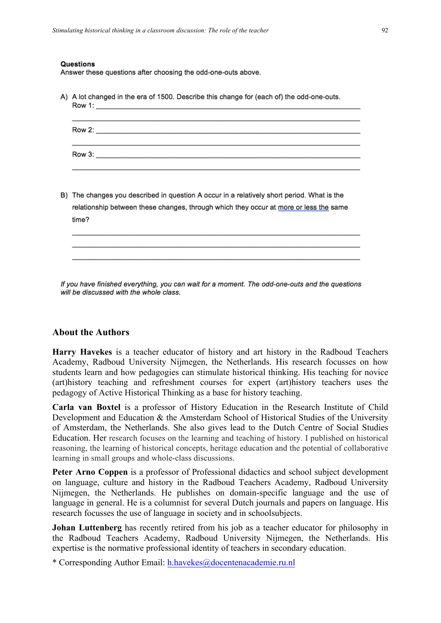#### **Questions**

Answer these questions after choosing the odd-one-outs above.

| A) A lot changed in the era of 1500. Describe this change for (each of) the odd-one-outs.                                                                                                    |  |  |  |  |  |  |  |
|----------------------------------------------------------------------------------------------------------------------------------------------------------------------------------------------|--|--|--|--|--|--|--|
|                                                                                                                                                                                              |  |  |  |  |  |  |  |
|                                                                                                                                                                                              |  |  |  |  |  |  |  |
| B) The changes you described in question A occur in a relatively short period. What is the<br>relationship between these changes, through which they occur at more or less the same<br>time? |  |  |  |  |  |  |  |
|                                                                                                                                                                                              |  |  |  |  |  |  |  |

If you have finished everything, you can wait for a moment. The odd-one-outs and the questions will be discussed with the whole class.

## **About the Authors**

**Harry Havekes** is a teacher educator of history and art history in the Radboud Teachers Academy, Radboud University Nijmegen, the Netherlands. His research focusses on how students learn and how pedagogies can stimulate historical thinking. His teaching for novice (art)history teaching and refreshment courses for expert (art)history teachers uses the pedagogy of Active Historical Thinking as a base for history teaching.

**Carla van Boxtel** is a professor of History Education in the Research Institute of Child Development and Education & the Amsterdam School of Historical Studies of the University of Amsterdam, the Netherlands. She also gives lead to the Dutch Centre of Social Studies Education. Her research focuses on the learning and teaching of history. I published on historical reasoning, the learning of historical concepts, heritage education and the potential of collaborative learning in small groups and whole-class discussions.

Peter Arno Coppen is a professor of Professional didactics and school subject development on language, culture and history in the Radboud Teachers Academy, Radboud University Nijmegen, the Netherlands. He publishes on domain-specific language and the use of language in general. He is a columnist for several Dutch journals and papers on language. His research focusses the use of language in society and in schoolsubjects.

**Johan Luttenberg** has recently retired from his job as a teacher educator for philosophy in the Radboud Teachers Academy, Radboud University Nijmegen, the Netherlands. His expertise is the normative professional identity of teachers in secondary education.

\* Corresponding Author Email: h.havekes@docentenacademie.ru.nl